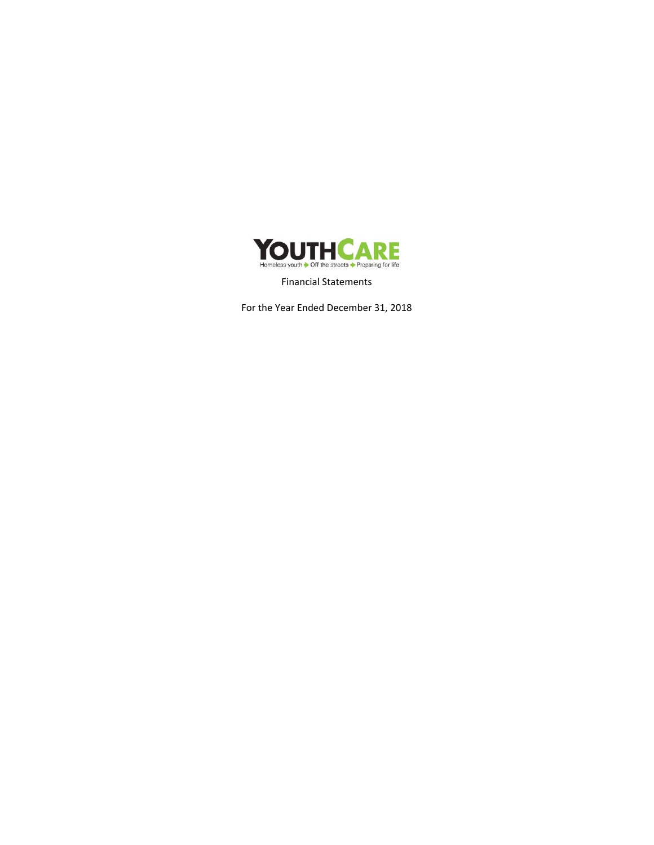

Financial Statements

For the Year Ended December 31, 2018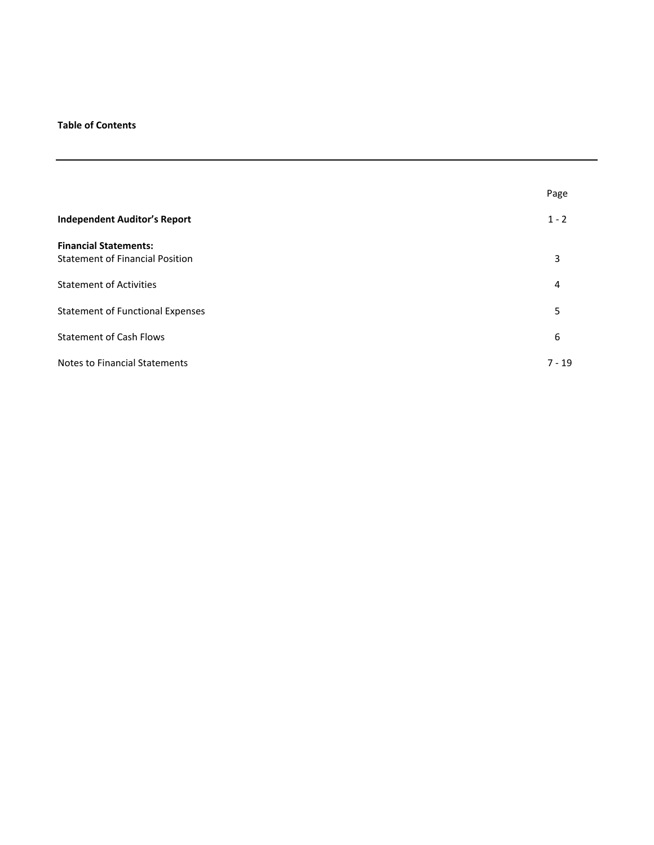# **Table of Contents**

|                                                                        | Page     |
|------------------------------------------------------------------------|----------|
| <b>Independent Auditor's Report</b>                                    | $1 - 2$  |
| <b>Financial Statements:</b><br><b>Statement of Financial Position</b> | 3        |
| <b>Statement of Activities</b>                                         | 4        |
| <b>Statement of Functional Expenses</b>                                | 5        |
| <b>Statement of Cash Flows</b>                                         | 6        |
| <b>Notes to Financial Statements</b>                                   | $7 - 19$ |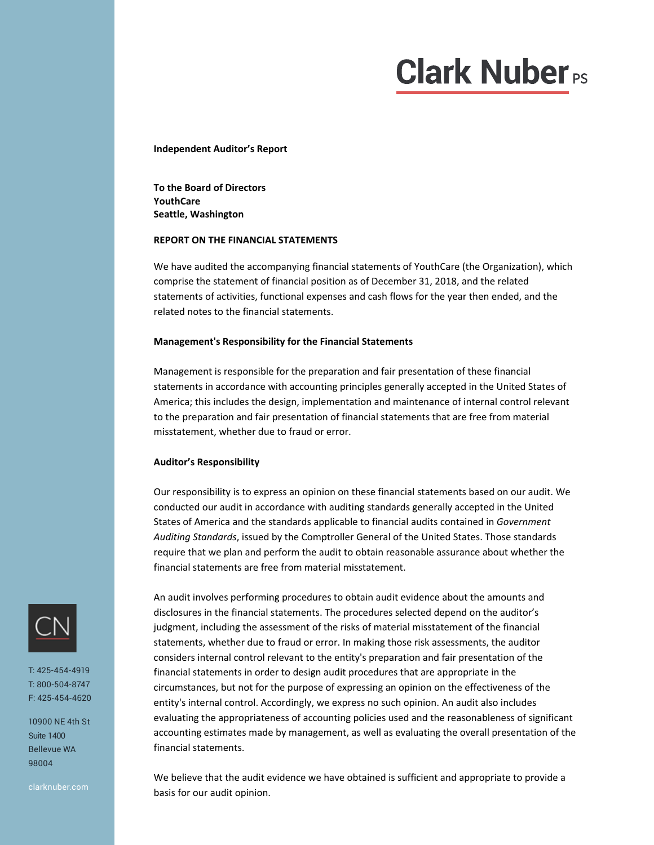# **Clark Nuber**<sub>PS</sub>

**Independent Auditor's Report** 

**To the Board of Directors YouthCare Seattle, Washington** 

## **REPORT ON THE FINANCIAL STATEMENTS**

We have audited the accompanying financial statements of YouthCare (the Organization), which comprise the statement of financial position as of December 31, 2018, and the related statements of activities, functional expenses and cash flows for the year then ended, and the related notes to the financial statements.

#### **Management's Responsibility for the Financial Statements**

Management is responsible for the preparation and fair presentation of these financial statements in accordance with accounting principles generally accepted in the United States of America; this includes the design, implementation and maintenance of internal control relevant to the preparation and fair presentation of financial statements that are free from material misstatement, whether due to fraud or error.

#### **Auditor's Responsibility**

Our responsibility is to express an opinion on these financial statements based on our audit. We conducted our audit in accordance with auditing standards generally accepted in the United States of America and the standards applicable to financial audits contained in *Government Auditing Standards*, issued by the Comptroller General of the United States. Those standards require that we plan and perform the audit to obtain reasonable assurance about whether the financial statements are free from material misstatement.

An audit involves performing procedures to obtain audit evidence about the amounts and disclosures in the financial statements. The procedures selected depend on the auditor's judgment, including the assessment of the risks of material misstatement of the financial statements, whether due to fraud or error. In making those risk assessments, the auditor considers internal control relevant to the entity's preparation and fair presentation of the financial statements in order to design audit procedures that are appropriate in the circumstances, but not for the purpose of expressing an opinion on the effectiveness of the entity's internal control. Accordingly, we express no such opinion. An audit also includes evaluating the appropriateness of accounting policies used and the reasonableness of significant accounting estimates made by management, as well as evaluating the overall presentation of the financial statements.

We believe that the audit evidence we have obtained is sufficient and appropriate to provide a basis for our audit opinion.



T: 425-454-4919 T: 800-504-8747 F: 425-454-4620

10900 NE 4th St Suite 1400 Bellevue WA 98004

clarknuber.com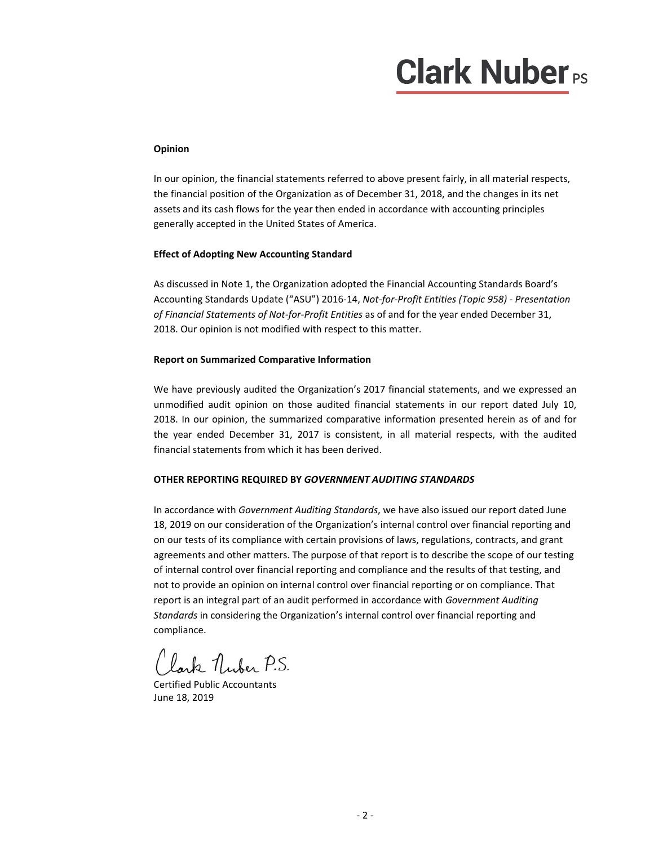# **Clark Nuber**<sub>Ps</sub>

#### **Opinion**

In our opinion, the financial statements referred to above present fairly, in all material respects, the financial position of the Organization as of December 31, 2018, and the changes in its net assets and its cash flows for the year then ended in accordance with accounting principles generally accepted in the United States of America.

#### **Effect of Adopting New Accounting Standard**

As discussed in Note 1, the Organization adopted the Financial Accounting Standards Board's Accounting Standards Update ("ASU") 2016‐14, *Not‐for‐Profit Entities (Topic 958) ‐ Presentation of Financial Statements of Not‐for‐Profit Entities* as of and for the year ended December 31, 2018. Our opinion is not modified with respect to this matter.

#### **Report on Summarized Comparative Information**

We have previously audited the Organization's 2017 financial statements, and we expressed an unmodified audit opinion on those audited financial statements in our report dated July 10, 2018. In our opinion, the summarized comparative information presented herein as of and for the year ended December 31, 2017 is consistent, in all material respects, with the audited financial statements from which it has been derived.

## **OTHER REPORTING REQUIRED BY** *GOVERNMENT AUDITING STANDARDS*

In accordance with *Government Auditing Standards*, we have also issued our report dated June 18, 2019 on our consideration of the Organization's internal control over financial reporting and on our tests of its compliance with certain provisions of laws, regulations, contracts, and grant agreements and other matters. The purpose of that report is to describe the scope of our testing of internal control over financial reporting and compliance and the results of that testing, and not to provide an opinion on internal control over financial reporting or on compliance. That report is an integral part of an audit performed in accordance with *Government Auditing Standards* in considering the Organization's internal control over financial reporting and compliance.

Clark Nuber P.S.

Certified Public Accountants June 18, 2019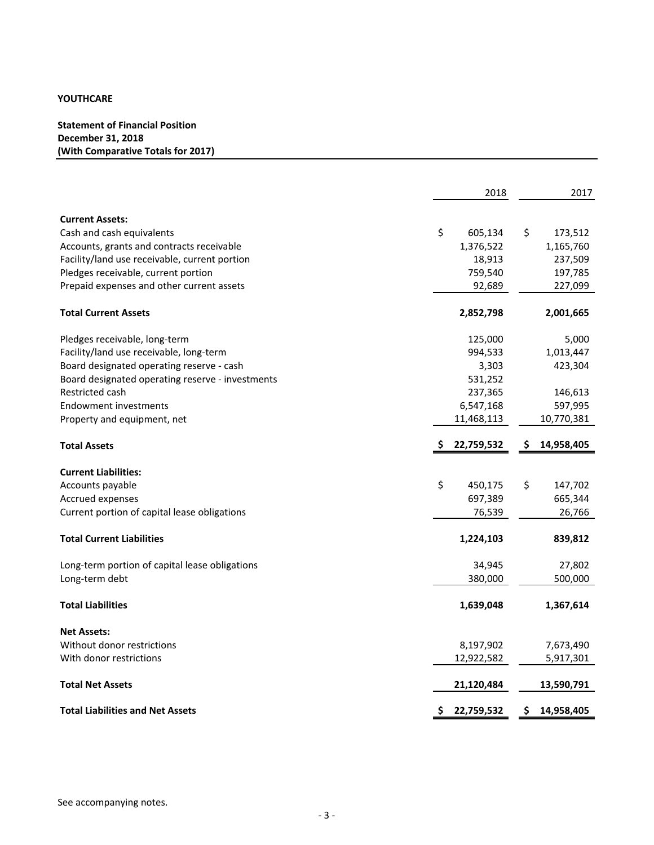**Statement of Financial Position December 31, 2018 (With Comparative Totals for 2017)** 

|                                                  | 2018              | 2017             |
|--------------------------------------------------|-------------------|------------------|
| <b>Current Assets:</b>                           |                   |                  |
| Cash and cash equivalents                        | \$<br>605,134     | \$<br>173,512    |
| Accounts, grants and contracts receivable        | 1,376,522         | 1,165,760        |
| Facility/land use receivable, current portion    | 18,913            | 237,509          |
| Pledges receivable, current portion              | 759,540           | 197,785          |
| Prepaid expenses and other current assets        | 92,689            | 227,099          |
|                                                  |                   |                  |
| <b>Total Current Assets</b>                      | 2,852,798         | 2,001,665        |
| Pledges receivable, long-term                    | 125,000           | 5,000            |
| Facility/land use receivable, long-term          | 994,533           | 1,013,447        |
| Board designated operating reserve - cash        | 3,303             | 423,304          |
| Board designated operating reserve - investments | 531,252           |                  |
| Restricted cash                                  | 237,365           | 146,613          |
| Endowment investments                            | 6,547,168         | 597,995          |
| Property and equipment, net                      | 11,468,113        | 10,770,381       |
| <b>Total Assets</b>                              | 22,759,532<br>\$. | 14,958,405<br>\$ |
| <b>Current Liabilities:</b>                      |                   |                  |
| Accounts payable                                 | \$<br>450,175     | \$<br>147,702    |
| Accrued expenses                                 | 697,389           | 665,344          |
| Current portion of capital lease obligations     | 76,539            | 26,766           |
| <b>Total Current Liabilities</b>                 | 1,224,103         | 839,812          |
| Long-term portion of capital lease obligations   | 34,945            | 27,802           |
| Long-term debt                                   | 380,000           | 500,000          |
| <b>Total Liabilities</b>                         | 1,639,048         | 1,367,614        |
| <b>Net Assets:</b>                               |                   |                  |
| Without donor restrictions                       | 8,197,902         | 7,673,490        |
| With donor restrictions                          | 12,922,582        | 5,917,301        |
| <b>Total Net Assets</b>                          | 21,120,484        | 13,590,791       |
| <b>Total Liabilities and Net Assets</b>          | 22,759,532<br>Ş.  | 14,958,405<br>Ş. |
|                                                  |                   |                  |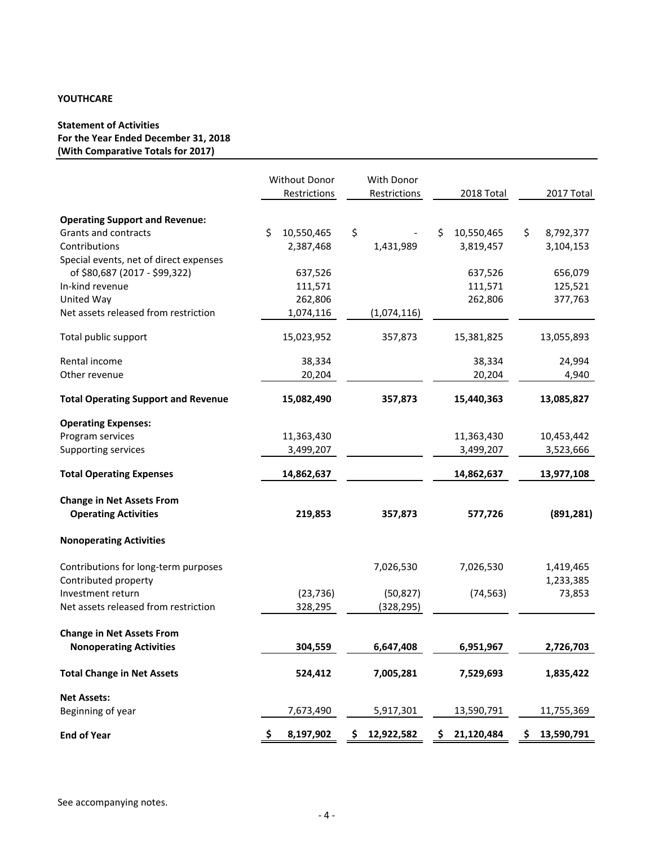# **Statement of Activities For the Year Ended December 31, 2018 (With Comparative Totals for 2017)**

|                                            |     | Without Donor<br>Restrictions |     | With Donor<br>Restrictions |    | 2018 Total |     | 2017 Total |
|--------------------------------------------|-----|-------------------------------|-----|----------------------------|----|------------|-----|------------|
| <b>Operating Support and Revenue:</b>      |     |                               |     |                            |    |            |     |            |
| Grants and contracts                       | \$  | 10,550,465                    | \$  |                            | \$ | 10,550,465 | \$  | 8,792,377  |
| Contributions                              |     | 2,387,468                     |     | 1,431,989                  |    | 3,819,457  |     | 3,104,153  |
| Special events, net of direct expenses     |     |                               |     |                            |    |            |     |            |
| of \$80,687 (2017 - \$99,322)              |     | 637,526                       |     |                            |    | 637,526    |     | 656,079    |
| In-kind revenue                            |     | 111,571                       |     |                            |    | 111,571    |     | 125,521    |
| United Way                                 |     | 262,806                       |     |                            |    | 262,806    |     | 377,763    |
| Net assets released from restriction       |     | 1,074,116                     |     | (1,074,116)                |    |            |     |            |
| Total public support                       |     | 15,023,952                    |     | 357,873                    |    | 15,381,825 |     | 13,055,893 |
| Rental income                              |     | 38,334                        |     |                            |    | 38,334     |     | 24,994     |
| Other revenue                              |     | 20,204                        |     |                            |    | 20,204     |     | 4,940      |
| <b>Total Operating Support and Revenue</b> |     | 15,082,490                    |     | 357,873                    |    | 15,440,363 |     | 13,085,827 |
| <b>Operating Expenses:</b>                 |     |                               |     |                            |    |            |     |            |
| Program services                           |     | 11,363,430                    |     |                            |    | 11,363,430 |     | 10,453,442 |
| Supporting services                        |     | 3,499,207                     |     |                            |    | 3,499,207  |     | 3,523,666  |
| <b>Total Operating Expenses</b>            |     | 14,862,637                    |     |                            |    | 14,862,637 |     | 13,977,108 |
| <b>Change in Net Assets From</b>           |     |                               |     |                            |    |            |     |            |
| <b>Operating Activities</b>                |     | 219,853                       |     | 357,873                    |    | 577,726    |     | (891, 281) |
| <b>Nonoperating Activities</b>             |     |                               |     |                            |    |            |     |            |
| Contributions for long-term purposes       |     |                               |     | 7,026,530                  |    | 7,026,530  |     | 1,419,465  |
| Contributed property                       |     |                               |     |                            |    |            |     | 1,233,385  |
| Investment return                          |     | (23, 736)                     |     | (50, 827)                  |    | (74, 563)  |     | 73,853     |
| Net assets released from restriction       |     | 328,295                       |     | (328, 295)                 |    |            |     |            |
| <b>Change in Net Assets From</b>           |     |                               |     |                            |    |            |     |            |
| <b>Nonoperating Activities</b>             |     | 304,559                       |     | 6,647,408                  |    | 6,951,967  |     | 2,726,703  |
|                                            |     |                               |     |                            |    |            |     |            |
| <b>Total Change in Net Assets</b>          |     | 524,412                       |     | 7,005,281                  |    | 7,529,693  |     | 1,835,422  |
| <b>Net Assets:</b>                         |     |                               |     |                            |    |            |     |            |
| Beginning of year                          |     | 7,673,490                     |     | 5,917,301                  |    | 13,590,791 |     | 11,755,369 |
| <b>End of Year</b>                         | \$. | 8,197,902                     | \$. | 12,922,582                 | Ş. | 21,120,484 | \$. | 13,590,791 |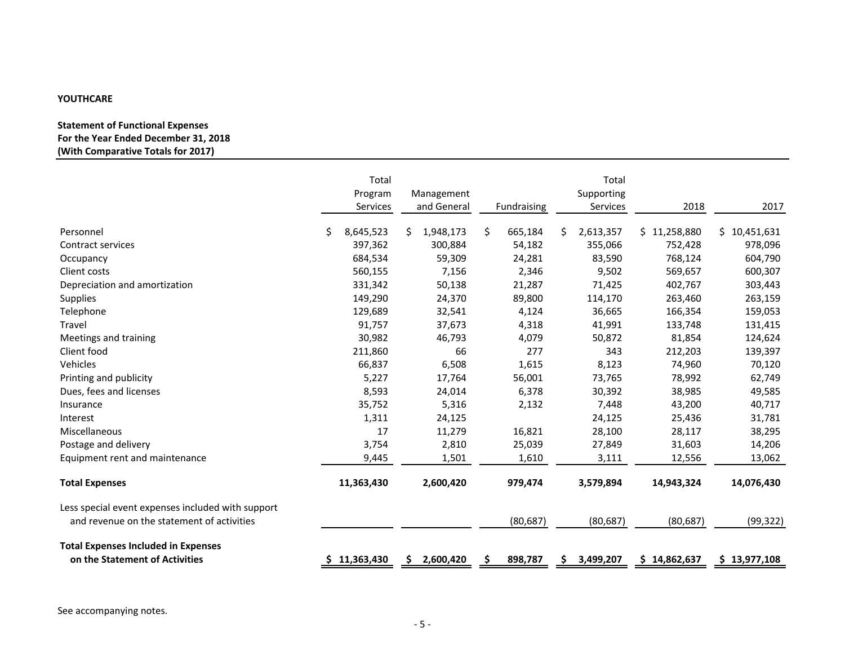# **Statement of Functional Expenses For the Year Ended December 31, 2018 (With Comparative Totals for 2017)**

|                                                                                                 | Total<br>Program<br>Services |    | Management<br>and General | Fundraising   |    | Total<br>Supporting<br>Services | 2018         | 2017         |
|-------------------------------------------------------------------------------------------------|------------------------------|----|---------------------------|---------------|----|---------------------------------|--------------|--------------|
| Personnel                                                                                       | \$<br>8,645,523              | S. | 1,948,173                 | \$<br>665,184 | S. | 2,613,357                       | \$11,258,880 | \$10,451,631 |
| Contract services                                                                               | 397,362                      |    | 300,884                   | 54,182        |    | 355,066                         | 752,428      | 978,096      |
| Occupancy                                                                                       | 684,534                      |    | 59,309                    | 24,281        |    | 83,590                          | 768,124      | 604,790      |
| Client costs                                                                                    | 560,155                      |    | 7,156                     | 2,346         |    | 9,502                           | 569,657      | 600,307      |
| Depreciation and amortization                                                                   | 331,342                      |    | 50,138                    | 21,287        |    | 71,425                          | 402,767      | 303,443      |
| Supplies                                                                                        | 149,290                      |    | 24,370                    | 89,800        |    | 114,170                         | 263,460      | 263,159      |
| Telephone                                                                                       | 129,689                      |    | 32,541                    | 4,124         |    | 36,665                          | 166,354      | 159,053      |
| <b>Travel</b>                                                                                   | 91,757                       |    | 37,673                    | 4,318         |    | 41,991                          | 133,748      | 131,415      |
| Meetings and training                                                                           | 30,982                       |    | 46,793                    | 4,079         |    | 50,872                          | 81,854       | 124,624      |
| Client food                                                                                     | 211,860                      |    | 66                        | 277           |    | 343                             | 212,203      | 139,397      |
| Vehicles                                                                                        | 66,837                       |    | 6,508                     | 1,615         |    | 8,123                           | 74,960       | 70,120       |
| Printing and publicity                                                                          | 5,227                        |    | 17,764                    | 56,001        |    | 73,765                          | 78,992       | 62,749       |
| Dues, fees and licenses                                                                         | 8,593                        |    | 24,014                    | 6,378         |    | 30,392                          | 38,985       | 49,585       |
| Insurance                                                                                       | 35,752                       |    | 5,316                     | 2,132         |    | 7,448                           | 43,200       | 40,717       |
| Interest                                                                                        | 1,311                        |    | 24,125                    |               |    | 24,125                          | 25,436       | 31,781       |
| Miscellaneous                                                                                   | 17                           |    | 11,279                    | 16,821        |    | 28,100                          | 28,117       | 38,295       |
| Postage and delivery                                                                            | 3,754                        |    | 2,810                     | 25,039        |    | 27,849                          | 31,603       | 14,206       |
| Equipment rent and maintenance                                                                  | 9,445                        |    | 1,501                     | 1,610         |    | 3,111                           | 12,556       | 13,062       |
| <b>Total Expenses</b>                                                                           | 11,363,430                   |    | 2,600,420                 | 979,474       |    | 3,579,894                       | 14,943,324   | 14,076,430   |
| Less special event expenses included with support<br>and revenue on the statement of activities |                              |    |                           | (80, 687)     |    | (80, 687)                       | (80, 687)    | (99, 322)    |
| <b>Total Expenses Included in Expenses</b><br>on the Statement of Activities                    | 11,363,430                   |    | 2,600,420                 | 898,787       |    | 3,499,207                       | \$14,862,637 | \$13,977,108 |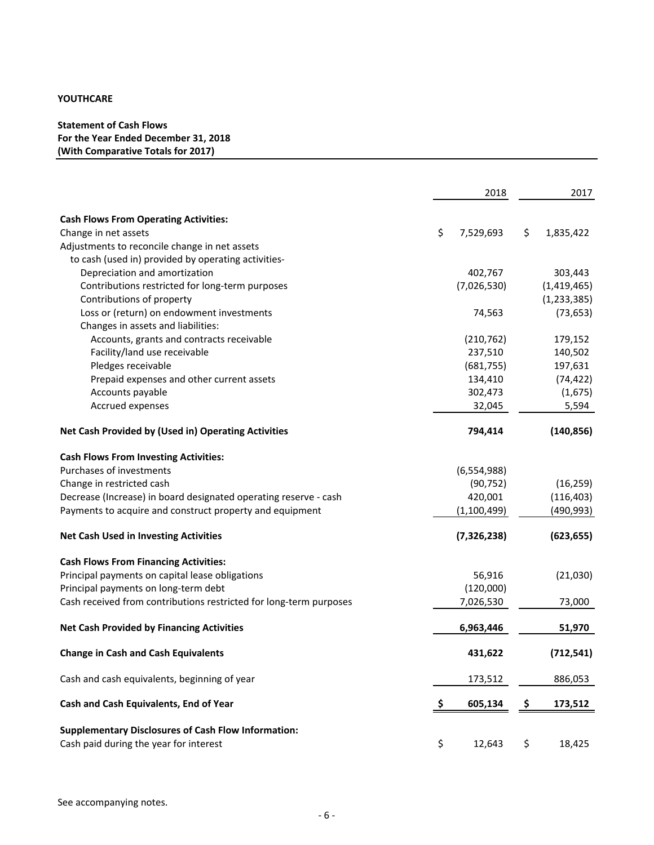# **Statement of Cash Flows For the Year Ended December 31, 2018 (With Comparative Totals for 2017)**

|                                                                    |    | 2018          |    | 2017          |
|--------------------------------------------------------------------|----|---------------|----|---------------|
| <b>Cash Flows From Operating Activities:</b>                       |    |               |    |               |
| Change in net assets                                               | \$ | 7,529,693     | \$ | 1,835,422     |
| Adjustments to reconcile change in net assets                      |    |               |    |               |
| to cash (used in) provided by operating activities-                |    |               |    |               |
| Depreciation and amortization                                      |    | 402,767       |    | 303,443       |
| Contributions restricted for long-term purposes                    |    | (7,026,530)   |    | (1,419,465)   |
| Contributions of property                                          |    |               |    | (1, 233, 385) |
| Loss or (return) on endowment investments                          |    | 74,563        |    | (73, 653)     |
| Changes in assets and liabilities:                                 |    |               |    |               |
| Accounts, grants and contracts receivable                          |    | (210, 762)    |    | 179,152       |
| Facility/land use receivable                                       |    | 237,510       |    | 140,502       |
| Pledges receivable                                                 |    | (681, 755)    |    | 197,631       |
| Prepaid expenses and other current assets                          |    | 134,410       |    | (74, 422)     |
|                                                                    |    |               |    | (1,675)       |
| Accounts payable                                                   |    | 302,473       |    |               |
| Accrued expenses                                                   |    | 32,045        |    | 5,594         |
| Net Cash Provided by (Used in) Operating Activities                |    | 794,414       |    | (140, 856)    |
| <b>Cash Flows From Investing Activities:</b>                       |    |               |    |               |
| Purchases of investments                                           |    | (6, 554, 988) |    |               |
| Change in restricted cash                                          |    | (90, 752)     |    | (16, 259)     |
| Decrease (Increase) in board designated operating reserve - cash   |    | 420,001       |    | (116, 403)    |
| Payments to acquire and construct property and equipment           |    | (1, 100, 499) |    | (490,993)     |
| <b>Net Cash Used in Investing Activities</b>                       |    | (7, 326, 238) |    | (623, 655)    |
| <b>Cash Flows From Financing Activities:</b>                       |    |               |    |               |
| Principal payments on capital lease obligations                    |    | 56,916        |    | (21,030)      |
| Principal payments on long-term debt                               |    | (120,000)     |    |               |
| Cash received from contributions restricted for long-term purposes |    | 7,026,530     |    | 73,000        |
| <b>Net Cash Provided by Financing Activities</b>                   |    | 6,963,446     |    | 51,970        |
| <b>Change in Cash and Cash Equivalents</b>                         |    | 431,622       |    | (712, 541)    |
| Cash and cash equivalents, beginning of year                       |    | 173,512       |    | 886,053       |
| Cash and Cash Equivalents, End of Year                             | -S | 605,134       | Ş  | 173,512       |
| <b>Supplementary Disclosures of Cash Flow Information:</b>         |    |               |    |               |
| Cash paid during the year for interest                             | \$ | 12,643        | \$ | 18,425        |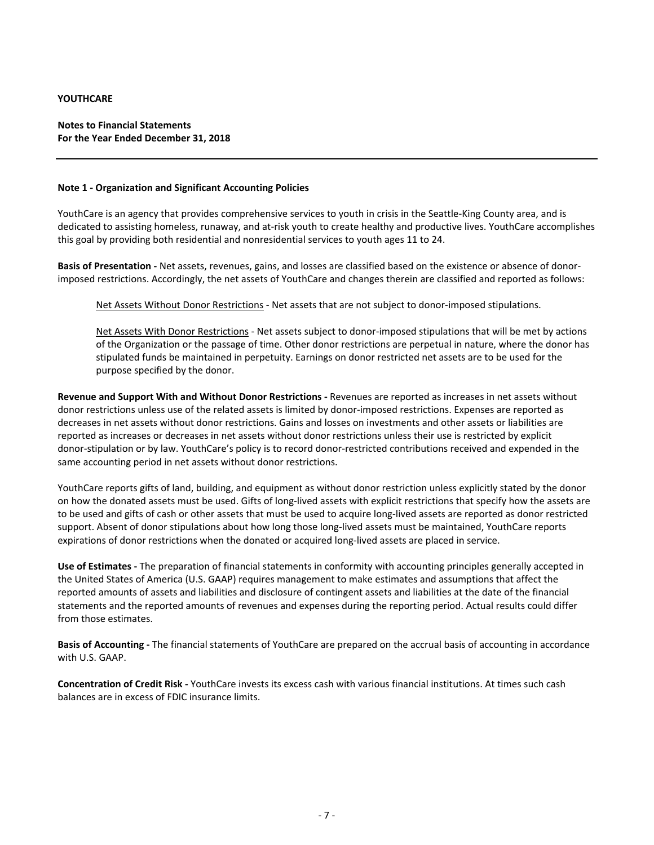**Notes to Financial Statements For the Year Ended December 31, 2018** 

#### **Note 1 ‐ Organization and Significant Accounting Policies**

YouthCare is an agency that provides comprehensive services to youth in crisis in the Seattle‐King County area, and is dedicated to assisting homeless, runaway, and at‐risk youth to create healthy and productive lives. YouthCare accomplishes this goal by providing both residential and nonresidential services to youth ages 11 to 24.

**Basis of Presentation ‐** Net assets, revenues, gains, and losses are classified based on the existence or absence of donor‐ imposed restrictions. Accordingly, the net assets of YouthCare and changes therein are classified and reported as follows:

Net Assets Without Donor Restrictions - Net assets that are not subject to donor-imposed stipulations.

Net Assets With Donor Restrictions - Net assets subject to donor-imposed stipulations that will be met by actions of the Organization or the passage of time. Other donor restrictions are perpetual in nature, where the donor has stipulated funds be maintained in perpetuity. Earnings on donor restricted net assets are to be used for the purpose specified by the donor.

**Revenue and Support With and Without Donor Restrictions ‐** Revenues are reported as increases in net assets without donor restrictions unless use of the related assets is limited by donor-imposed restrictions. Expenses are reported as decreases in net assets without donor restrictions. Gains and losses on investments and other assets or liabilities are reported as increases or decreases in net assets without donor restrictions unless their use is restricted by explicit donor‐stipulation or by law. YouthCare's policy is to record donor‐restricted contributions received and expended in the same accounting period in net assets without donor restrictions.

YouthCare reports gifts of land, building, and equipment as without donor restriction unless explicitly stated by the donor on how the donated assets must be used. Gifts of long‐lived assets with explicit restrictions that specify how the assets are to be used and gifts of cash or other assets that must be used to acquire long‐lived assets are reported as donor restricted support. Absent of donor stipulations about how long those long-lived assets must be maintained, YouthCare reports expirations of donor restrictions when the donated or acquired long‐lived assets are placed in service.

**Use of Estimates ‐** The preparation of financial statements in conformity with accounting principles generally accepted in the United States of America (U.S. GAAP) requires management to make estimates and assumptions that affect the reported amounts of assets and liabilities and disclosure of contingent assets and liabilities at the date of the financial statements and the reported amounts of revenues and expenses during the reporting period. Actual results could differ from those estimates.

**Basis of Accounting ‐** The financial statements of YouthCare are prepared on the accrual basis of accounting in accordance with U.S. GAAP.

**Concentration of Credit Risk ‐** YouthCare invests its excess cash with various financial institutions. At times such cash balances are in excess of FDIC insurance limits.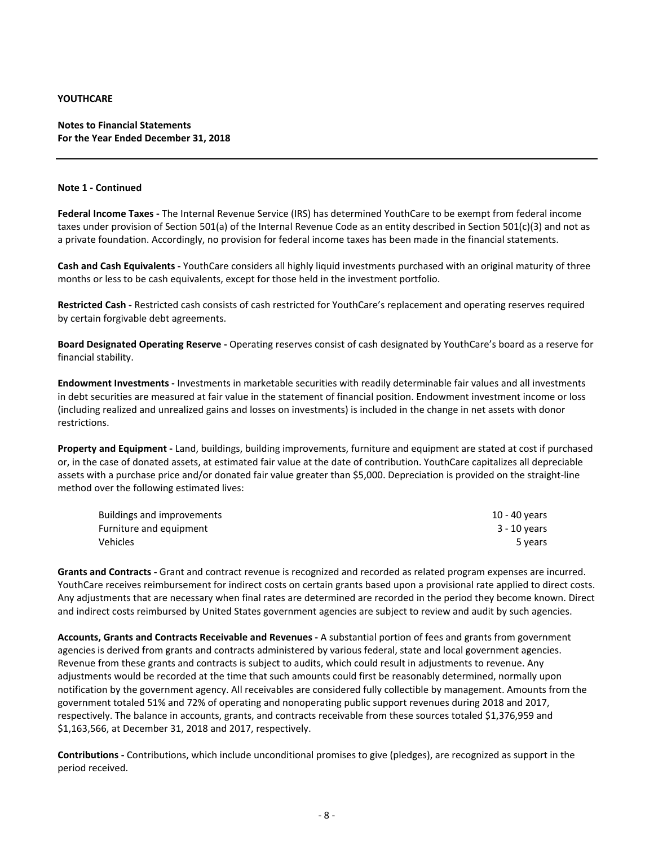#### **Notes to Financial Statements For the Year Ended December 31, 2018**

#### **Note 1 ‐ Continued**

**Federal Income Taxes ‐** The Internal Revenue Service (IRS) has determined YouthCare to be exempt from federal income taxes under provision of Section 501(a) of the Internal Revenue Code as an entity described in Section 501(c)(3) and not as a private foundation. Accordingly, no provision for federal income taxes has been made in the financial statements.

**Cash and Cash Equivalents ‐** YouthCare considers all highly liquid investments purchased with an original maturity of three months or less to be cash equivalents, except for those held in the investment portfolio.

**Restricted Cash ‐** Restricted cash consists of cash restricted for YouthCare's replacement and operating reserves required by certain forgivable debt agreements.

**Board Designated Operating Reserve ‐** Operating reserves consist of cash designated by YouthCare's board as a reserve for financial stability.

**Endowment Investments ‐** Investments in marketable securities with readily determinable fair values and all investments in debt securities are measured at fair value in the statement of financial position. Endowment investment income or loss (including realized and unrealized gains and losses on investments) is included in the change in net assets with donor restrictions.

**Property and Equipment ‐** Land, buildings, building improvements, furniture and equipment are stated at cost if purchased or, in the case of donated assets, at estimated fair value at the date of contribution. YouthCare capitalizes all depreciable assets with a purchase price and/or donated fair value greater than \$5,000. Depreciation is provided on the straight-line method over the following estimated lives:

| Buildings and improvements | 10 - 40 years |
|----------------------------|---------------|
| Furniture and equipment    | 3 - 10 vears  |
| Vehicles                   | 5 years       |

Grants and Contracts - Grant and contract revenue is recognized and recorded as related program expenses are incurred. YouthCare receives reimbursement for indirect costs on certain grants based upon a provisional rate applied to direct costs. Any adjustments that are necessary when final rates are determined are recorded in the period they become known. Direct and indirect costs reimbursed by United States government agencies are subject to review and audit by such agencies.

**Accounts, Grants and Contracts Receivable and Revenues ‐** A substantial portion of fees and grants from government agencies is derived from grants and contracts administered by various federal, state and local government agencies. Revenue from these grants and contracts is subject to audits, which could result in adjustments to revenue. Any adjustments would be recorded at the time that such amounts could first be reasonably determined, normally upon notification by the government agency. All receivables are considered fully collectible by management. Amounts from the government totaled 51% and 72% of operating and nonoperating public support revenues during 2018 and 2017, respectively. The balance in accounts, grants, and contracts receivable from these sources totaled \$1,376,959 and \$1,163,566, at December 31, 2018 and 2017, respectively.

**Contributions ‐** Contributions, which include unconditional promises to give (pledges), are recognized as support in the period received.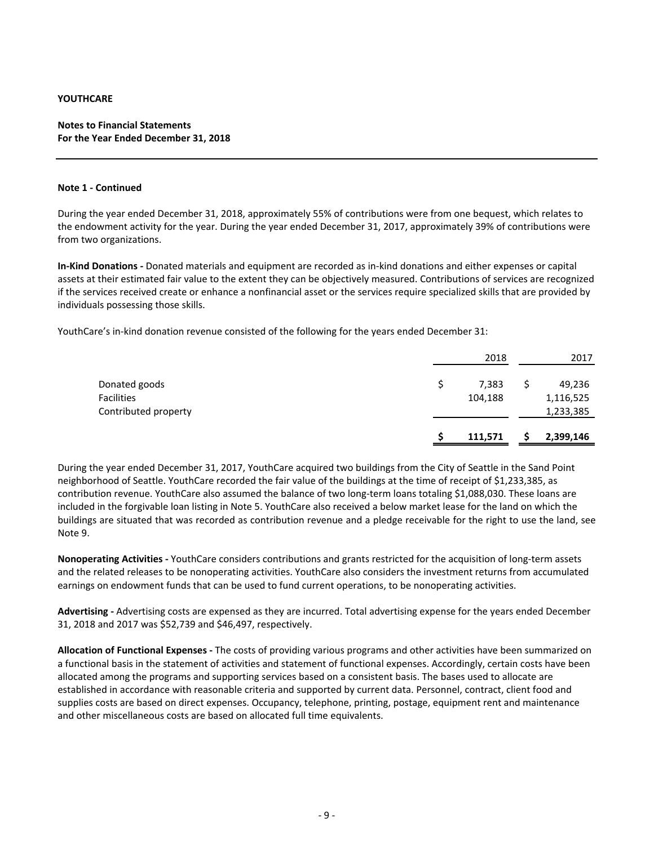#### **Notes to Financial Statements For the Year Ended December 31, 2018**

#### **Note 1 ‐ Continued**

During the year ended December 31, 2018, approximately 55% of contributions were from one bequest, which relates to the endowment activity for the year. During the year ended December 31, 2017, approximately 39% of contributions were from two organizations.

**In‐Kind Donations ‐** Donated materials and equipment are recorded as in‐kind donations and either expenses or capital assets at their estimated fair value to the extent they can be objectively measured. Contributions of services are recognized if the services received create or enhance a nonfinancial asset or the services require specialized skills that are provided by individuals possessing those skills.

YouthCare's in-kind donation revenue consisted of the following for the years ended December 31:

|                      | 2018    | 2017      |
|----------------------|---------|-----------|
| Donated goods        | 7,383   | 49,236    |
| <b>Facilities</b>    | 104,188 | 1,116,525 |
| Contributed property |         | 1,233,385 |
|                      | 111,571 | 2,399,146 |

During the year ended December 31, 2017, YouthCare acquired two buildings from the City of Seattle in the Sand Point neighborhood of Seattle. YouthCare recorded the fair value of the buildings at the time of receipt of \$1,233,385, as contribution revenue. YouthCare also assumed the balance of two long-term loans totaling \$1,088,030. These loans are included in the forgivable loan listing in Note 5. YouthCare also received a below market lease for the land on which the buildings are situated that was recorded as contribution revenue and a pledge receivable for the right to use the land, see Note 9.

**Nonoperating Activities - YouthCare considers contributions and grants restricted for the acquisition of long-term assets** and the related releases to be nonoperating activities. YouthCare also considers the investment returns from accumulated earnings on endowment funds that can be used to fund current operations, to be nonoperating activities.

**Advertising ‐** Advertising costs are expensed as they are incurred. Total advertising expense for the years ended December 31, 2018 and 2017 was \$52,739 and \$46,497, respectively.

**Allocation of Functional Expenses ‐** The costs of providing various programs and other activities have been summarized on a functional basis in the statement of activities and statement of functional expenses. Accordingly, certain costs have been allocated among the programs and supporting services based on a consistent basis. The bases used to allocate are established in accordance with reasonable criteria and supported by current data. Personnel, contract, client food and supplies costs are based on direct expenses. Occupancy, telephone, printing, postage, equipment rent and maintenance and other miscellaneous costs are based on allocated full time equivalents.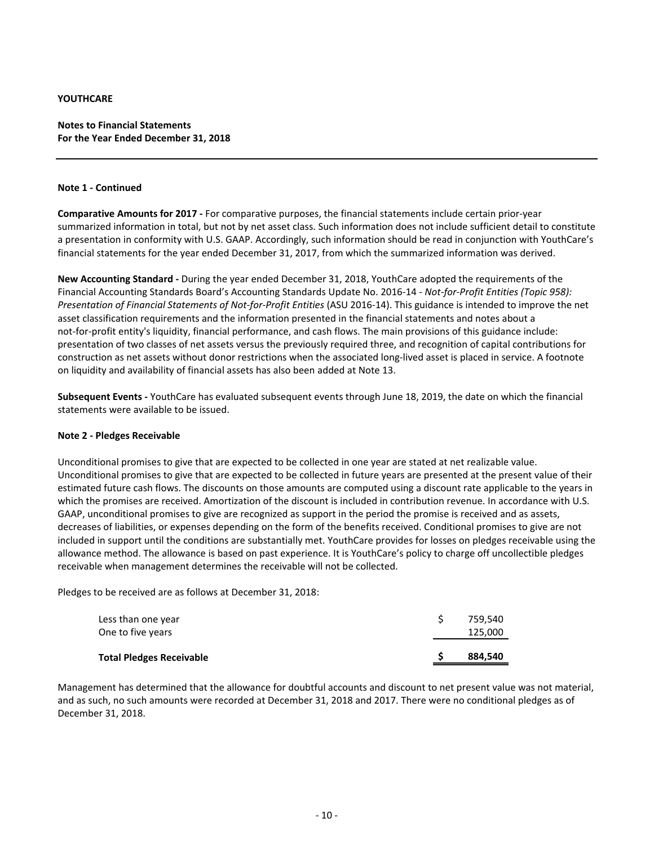#### **Notes to Financial Statements For the Year Ended December 31, 2018**

#### **Note 1 ‐ Continued**

**Comparative Amounts for 2017 ‐** For comparative purposes, the financial statements include certain prior‐year summarized information in total, but not by net asset class. Such information does not include sufficient detail to constitute a presentation in conformity with U.S. GAAP. Accordingly, such information should be read in conjunction with YouthCare's financial statements for the year ended December 31, 2017, from which the summarized information was derived.

**New Accounting Standard ‐** During the year ended December 31, 2018, YouthCare adopted the requirements of the Financial Accounting Standards Board's Accounting Standards Update No. 2016‐14 ‐ *Not‐for‐Profit Entities (Topic 958): Presentation of Financial Statements of Not‐for‐Profit Entities* (ASU 2016‐14). This guidance is intended to improve the net asset classification requirements and the information presented in the financial statements and notes about a not-for-profit entity's liquidity, financial performance, and cash flows. The main provisions of this guidance include: presentation of two classes of net assets versus the previously required three, and recognition of capital contributions for construction as net assets without donor restrictions when the associated long‐lived asset is placed in service. A footnote on liquidity and availability of financial assets has also been added at Note 13.

**Subsequent Events ‐** YouthCare has evaluated subsequent events through June 18, 2019, the date on which the financial statements were available to be issued.

#### **Note 2 ‐ Pledges Receivable**

Unconditional promises to give that are expected to be collected in one year are stated at net realizable value. Unconditional promises to give that are expected to be collected in future years are presented at the present value of their estimated future cash flows. The discounts on those amounts are computed using a discount rate applicable to the years in which the promises are received. Amortization of the discount is included in contribution revenue. In accordance with U.S. GAAP, unconditional promises to give are recognized as support in the period the promise is received and as assets, decreases of liabilities, or expenses depending on the form of the benefits received. Conditional promises to give are not included in support until the conditions are substantially met. YouthCare provides for losses on pledges receivable using the allowance method. The allowance is based on past experience. It is YouthCare's policy to charge off uncollectible pledges receivable when management determines the receivable will not be collected.

Pledges to be received are as follows at December 31, 2018:

| Total Pledges Receivable | 884,540 |
|--------------------------|---------|
| One to five years        | 125,000 |
| Less than one year       | 759.540 |

Management has determined that the allowance for doubtful accounts and discount to net present value was not material, and as such, no such amounts were recorded at December 31, 2018 and 2017. There were no conditional pledges as of December 31, 2018.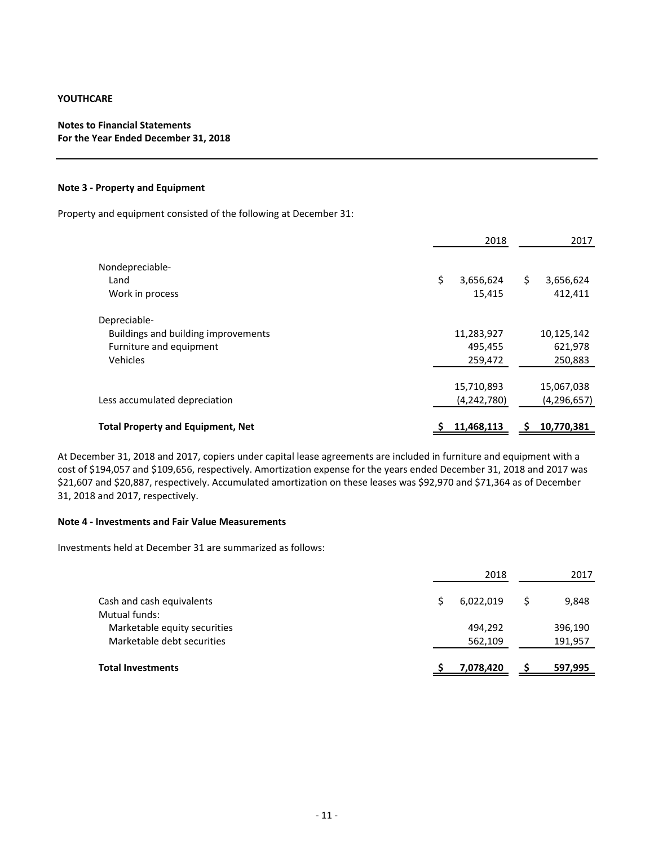## **Notes to Financial Statements For the Year Ended December 31, 2018**

#### **Note 3 ‐ Property and Equipment**

Property and equipment consisted of the following at December 31:

|                                          | 2018            | 2017            |
|------------------------------------------|-----------------|-----------------|
| Nondepreciable-                          |                 |                 |
| Land                                     | \$<br>3,656,624 | \$<br>3,656,624 |
| Work in process                          | 15,415          | 412,411         |
| Depreciable-                             |                 |                 |
| Buildings and building improvements      | 11,283,927      | 10,125,142      |
| Furniture and equipment                  | 495,455         | 621,978         |
| Vehicles                                 | 259,472         | 250,883         |
|                                          |                 |                 |
|                                          | 15,710,893      | 15,067,038      |
| Less accumulated depreciation            | (4, 242, 780)   | (4, 296, 657)   |
| <b>Total Property and Equipment, Net</b> | 11,468,113      | 10,770,381      |

At December 31, 2018 and 2017, copiers under capital lease agreements are included in furniture and equipment with a cost of \$194,057 and \$109,656, respectively. Amortization expense for the years ended December 31, 2018 and 2017 was \$21,607 and \$20,887, respectively. Accumulated amortization on these leases was \$92,970 and \$71,364 as of December 31, 2018 and 2017, respectively.

#### **Note 4 ‐ Investments and Fair Value Measurements**

Investments held at December 31 are summarized as follows:

|                                                            | 2018               | 2017 |                    |  |
|------------------------------------------------------------|--------------------|------|--------------------|--|
| Cash and cash equivalents<br>Mutual funds:                 | 6,022,019          |      | 9,848              |  |
| Marketable equity securities<br>Marketable debt securities | 494,292<br>562,109 |      | 396,190<br>191,957 |  |
| <b>Total Investments</b>                                   | 7,078,420          |      | 597,995            |  |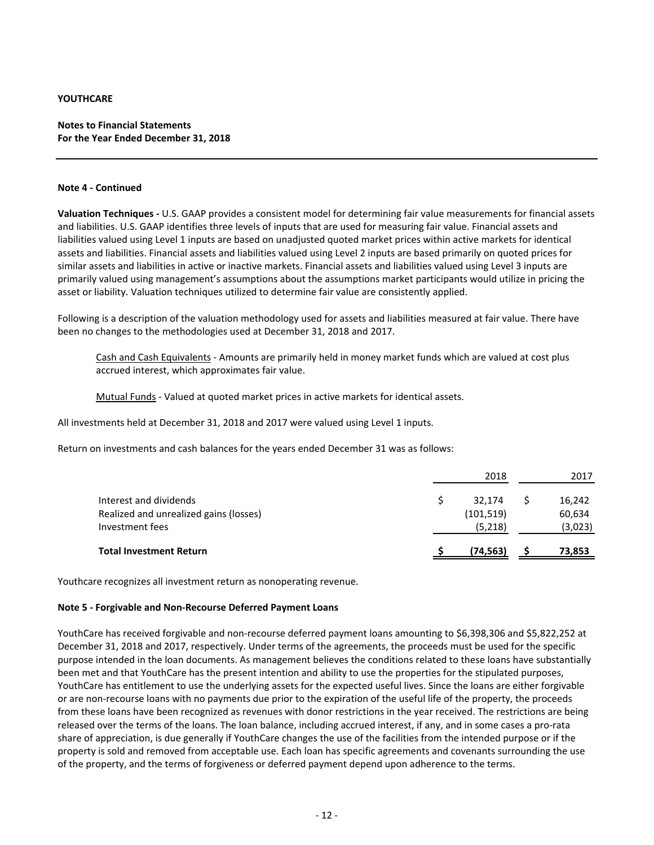#### **Notes to Financial Statements For the Year Ended December 31, 2018**

#### **Note 4 ‐ Continued**

**Valuation Techniques ‐** U.S. GAAP provides a consistent model for determining fair value measurements for financial assets and liabilities. U.S. GAAP identifies three levels of inputs that are used for measuring fair value. Financial assets and liabilities valued using Level 1 inputs are based on unadjusted quoted market prices within active markets for identical assets and liabilities. Financial assets and liabilities valued using Level 2 inputs are based primarily on quoted prices for similar assets and liabilities in active or inactive markets. Financial assets and liabilities valued using Level 3 inputs are primarily valued using management's assumptions about the assumptions market participants would utilize in pricing the asset or liability. Valuation techniques utilized to determine fair value are consistently applied.

Following is a description of the valuation methodology used for assets and liabilities measured at fair value. There have been no changes to the methodologies used at December 31, 2018 and 2017.

Cash and Cash Equivalents ‐ Amounts are primarily held in money market funds which are valued at cost plus accrued interest, which approximates fair value.

Mutual Funds ‐ Valued at quoted market prices in active markets for identical assets.

All investments held at December 31, 2018 and 2017 were valued using Level 1 inputs.

Return on investments and cash balances for the years ended December 31 was as follows:

|                                                                                     | 2018                            | 2017                        |
|-------------------------------------------------------------------------------------|---------------------------------|-----------------------------|
| Interest and dividends<br>Realized and unrealized gains (losses)<br>Investment fees | 32.174<br>(101, 519)<br>(5,218) | 16,242<br>60,634<br>(3,023) |
| <b>Total Investment Return</b>                                                      | (74,563)                        | 73,853                      |

Youthcare recognizes all investment return as nonoperating revenue.

#### **Note 5 ‐ Forgivable and Non‐Recourse Deferred Payment Loans**

YouthCare has received forgivable and non-recourse deferred payment loans amounting to \$6,398,306 and \$5,822,252 at December 31, 2018 and 2017, respectively. Under terms of the agreements, the proceeds must be used for the specific purpose intended in the loan documents. As management believes the conditions related to these loans have substantially been met and that YouthCare has the present intention and ability to use the properties for the stipulated purposes, YouthCare has entitlement to use the underlying assets for the expected useful lives. Since the loans are either forgivable or are non-recourse loans with no payments due prior to the expiration of the useful life of the property, the proceeds from these loans have been recognized as revenues with donor restrictions in the year received. The restrictions are being released over the terms of the loans. The loan balance, including accrued interest, if any, and in some cases a pro‐rata share of appreciation, is due generally if YouthCare changes the use of the facilities from the intended purpose or if the property is sold and removed from acceptable use. Each loan has specific agreements and covenants surrounding the use of the property, and the terms of forgiveness or deferred payment depend upon adherence to the terms.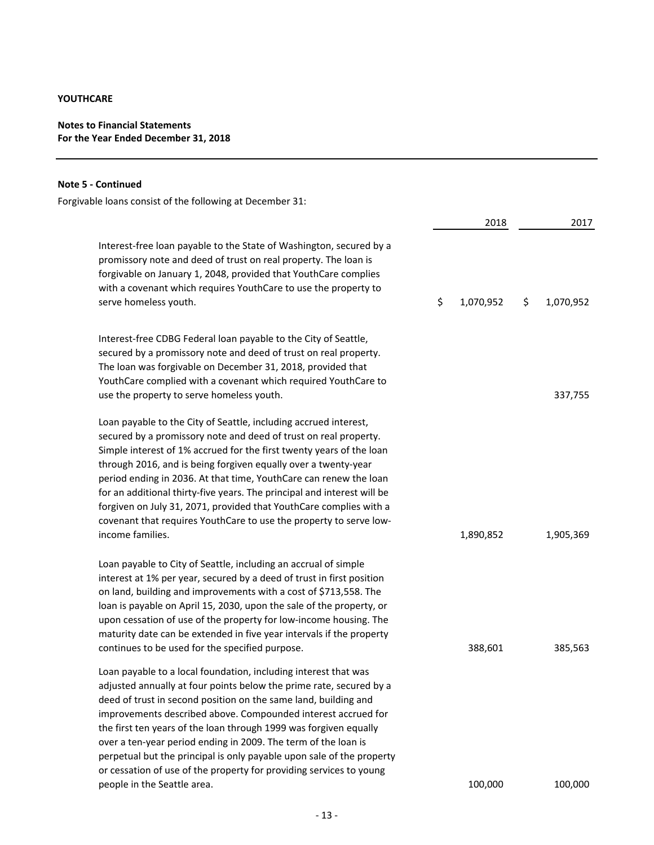# **Notes to Financial Statements For the Year Ended December 31, 2018**

# **Note 5 ‐ Continued**

Forgivable loans consist of the following at December 31:

|                                                                                                                                                                                                                                                                                                                                                                                                                                                                                                                                                                                                | 2018            | 2017            |
|------------------------------------------------------------------------------------------------------------------------------------------------------------------------------------------------------------------------------------------------------------------------------------------------------------------------------------------------------------------------------------------------------------------------------------------------------------------------------------------------------------------------------------------------------------------------------------------------|-----------------|-----------------|
| Interest-free loan payable to the State of Washington, secured by a<br>promissory note and deed of trust on real property. The loan is<br>forgivable on January 1, 2048, provided that YouthCare complies<br>with a covenant which requires YouthCare to use the property to<br>serve homeless youth.                                                                                                                                                                                                                                                                                          | \$<br>1,070,952 | \$<br>1,070,952 |
| Interest-free CDBG Federal loan payable to the City of Seattle,<br>secured by a promissory note and deed of trust on real property.<br>The loan was forgivable on December 31, 2018, provided that<br>YouthCare complied with a covenant which required YouthCare to<br>use the property to serve homeless youth.                                                                                                                                                                                                                                                                              |                 | 337,755         |
| Loan payable to the City of Seattle, including accrued interest,<br>secured by a promissory note and deed of trust on real property.<br>Simple interest of 1% accrued for the first twenty years of the loan<br>through 2016, and is being forgiven equally over a twenty-year<br>period ending in 2036. At that time, YouthCare can renew the loan<br>for an additional thirty-five years. The principal and interest will be<br>forgiven on July 31, 2071, provided that YouthCare complies with a<br>covenant that requires YouthCare to use the property to serve low-<br>income families. | 1,890,852       | 1,905,369       |
| Loan payable to City of Seattle, including an accrual of simple<br>interest at 1% per year, secured by a deed of trust in first position<br>on land, building and improvements with a cost of \$713,558. The<br>loan is payable on April 15, 2030, upon the sale of the property, or<br>upon cessation of use of the property for low-income housing. The<br>maturity date can be extended in five year intervals if the property<br>continues to be used for the specified purpose.                                                                                                           | 388,601         | 385,563         |
| Loan payable to a local foundation, including interest that was<br>adjusted annually at four points below the prime rate, secured by a<br>deed of trust in second position on the same land, building and<br>improvements described above. Compounded interest accrued for<br>the first ten years of the loan through 1999 was forgiven equally<br>over a ten-year period ending in 2009. The term of the loan is<br>perpetual but the principal is only payable upon sale of the property<br>or cessation of use of the property for providing services to young                              |                 |                 |
| people in the Seattle area.                                                                                                                                                                                                                                                                                                                                                                                                                                                                                                                                                                    | 100,000         | 100,000         |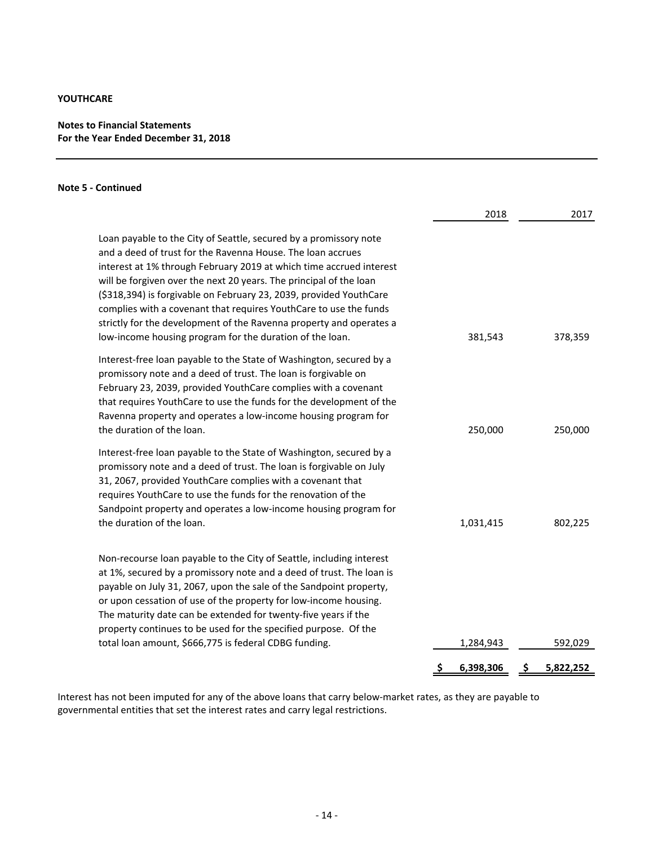# **Notes to Financial Statements For the Year Ended December 31, 2018**

## **Note 5 ‐ Continued**

|                                                                                                                                                                                                                                                                                                                                               | 2018                   | 2017            |
|-----------------------------------------------------------------------------------------------------------------------------------------------------------------------------------------------------------------------------------------------------------------------------------------------------------------------------------------------|------------------------|-----------------|
| Loan payable to the City of Seattle, secured by a promissory note<br>and a deed of trust for the Ravenna House. The loan accrues                                                                                                                                                                                                              |                        |                 |
| interest at 1% through February 2019 at which time accrued interest<br>will be forgiven over the next 20 years. The principal of the loan                                                                                                                                                                                                     |                        |                 |
| (\$318,394) is forgivable on February 23, 2039, provided YouthCare<br>complies with a covenant that requires YouthCare to use the funds                                                                                                                                                                                                       |                        |                 |
| strictly for the development of the Ravenna property and operates a<br>low-income housing program for the duration of the loan.                                                                                                                                                                                                               | 381,543                | 378,359         |
| Interest-free loan payable to the State of Washington, secured by a<br>promissory note and a deed of trust. The loan is forgivable on<br>February 23, 2039, provided YouthCare complies with a covenant<br>that requires YouthCare to use the funds for the development of the                                                                |                        |                 |
| Ravenna property and operates a low-income housing program for<br>the duration of the loan.                                                                                                                                                                                                                                                   | 250,000                | 250,000         |
| Interest-free loan payable to the State of Washington, secured by a<br>promissory note and a deed of trust. The loan is forgivable on July<br>31, 2067, provided YouthCare complies with a covenant that<br>requires YouthCare to use the funds for the renovation of the<br>Sandpoint property and operates a low-income housing program for |                        |                 |
| the duration of the loan.                                                                                                                                                                                                                                                                                                                     | 1,031,415              | 802,225         |
| Non-recourse loan payable to the City of Seattle, including interest<br>at 1%, secured by a promissory note and a deed of trust. The loan is<br>payable on July 31, 2067, upon the sale of the Sandpoint property,<br>or upon cessation of use of the property for low-income housing.                                                        |                        |                 |
| The maturity date can be extended for twenty-five years if the<br>property continues to be used for the specified purpose. Of the                                                                                                                                                                                                             |                        |                 |
| total loan amount, \$666,775 is federal CDBG funding.                                                                                                                                                                                                                                                                                         | 1,284,943              | 592,029         |
|                                                                                                                                                                                                                                                                                                                                               | 6,398,306<br><u>_S</u> | 5,822,252<br>Ş. |

Interest has not been imputed for any of the above loans that carry below‐market rates, as they are payable to governmental entities that set the interest rates and carry legal restrictions.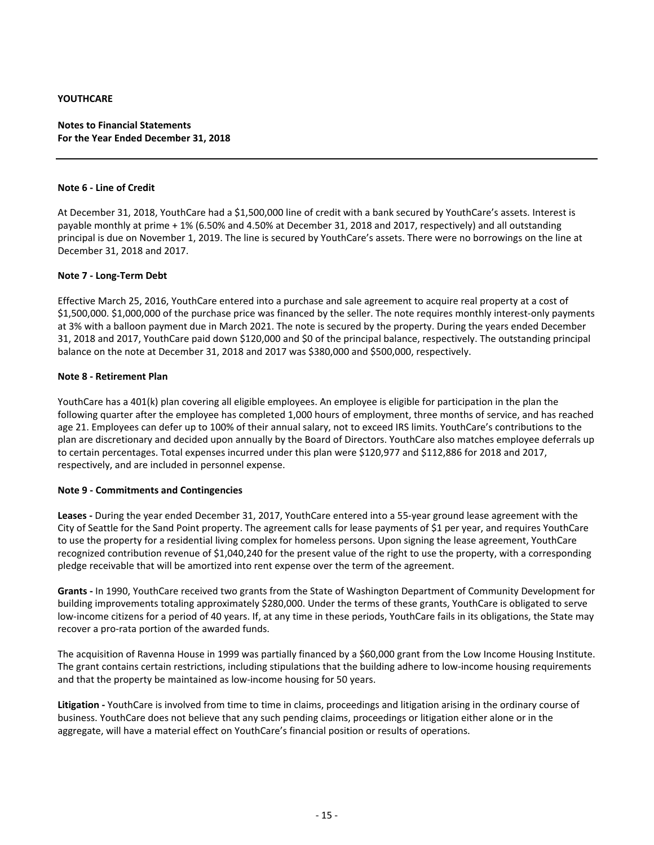#### **Notes to Financial Statements For the Year Ended December 31, 2018**

#### **Note 6 ‐ Line of Credit**

At December 31, 2018, YouthCare had a \$1,500,000 line of credit with a bank secured by YouthCare's assets. Interest is payable monthly at prime + 1% (6.50% and 4.50% at December 31, 2018 and 2017, respectively) and all outstanding principal is due on November 1, 2019. The line is secured by YouthCare's assets. There were no borrowings on the line at December 31, 2018 and 2017.

#### **Note 7 ‐ Long‐Term Debt**

Effective March 25, 2016, YouthCare entered into a purchase and sale agreement to acquire real property at a cost of \$1,500,000. \$1,000,000 of the purchase price was financed by the seller. The note requires monthly interest-only payments at 3% with a balloon payment due in March 2021. The note is secured by the property. During the years ended December 31, 2018 and 2017, YouthCare paid down \$120,000 and \$0 of the principal balance, respectively. The outstanding principal balance on the note at December 31, 2018 and 2017 was \$380,000 and \$500,000, respectively.

#### **Note 8 ‐ Retirement Plan**

YouthCare has a 401(k) plan covering all eligible employees. An employee is eligible for participation in the plan the following quarter after the employee has completed 1,000 hours of employment, three months of service, and has reached age 21. Employees can defer up to 100% of their annual salary, not to exceed IRS limits. YouthCare's contributions to the plan are discretionary and decided upon annually by the Board of Directors. YouthCare also matches employee deferrals up to certain percentages. Total expenses incurred under this plan were \$120,977 and \$112,886 for 2018 and 2017, respectively, and are included in personnel expense.

#### **Note 9 ‐ Commitments and Contingencies**

**Leases ‐** During the year ended December 31, 2017, YouthCare entered into a 55‐year ground lease agreement with the City of Seattle for the Sand Point property. The agreement calls for lease payments of \$1 per year, and requires YouthCare to use the property for a residential living complex for homeless persons. Upon signing the lease agreement, YouthCare recognized contribution revenue of \$1,040,240 for the present value of the right to use the property, with a corresponding pledge receivable that will be amortized into rent expense over the term of the agreement.

**Grants ‐** In 1990, YouthCare received two grants from the State of Washington Department of Community Development for building improvements totaling approximately \$280,000. Under the terms of these grants, YouthCare is obligated to serve low-income citizens for a period of 40 years. If, at any time in these periods, YouthCare fails in its obligations, the State may recover a pro‐rata portion of the awarded funds.

The acquisition of Ravenna House in 1999 was partially financed by a \$60,000 grant from the Low Income Housing Institute. The grant contains certain restrictions, including stipulations that the building adhere to low-income housing requirements and that the property be maintained as low-income housing for 50 years.

**Litigation ‐** YouthCare is involved from time to time in claims, proceedings and litigation arising in the ordinary course of business. YouthCare does not believe that any such pending claims, proceedings or litigation either alone or in the aggregate, will have a material effect on YouthCare's financial position or results of operations.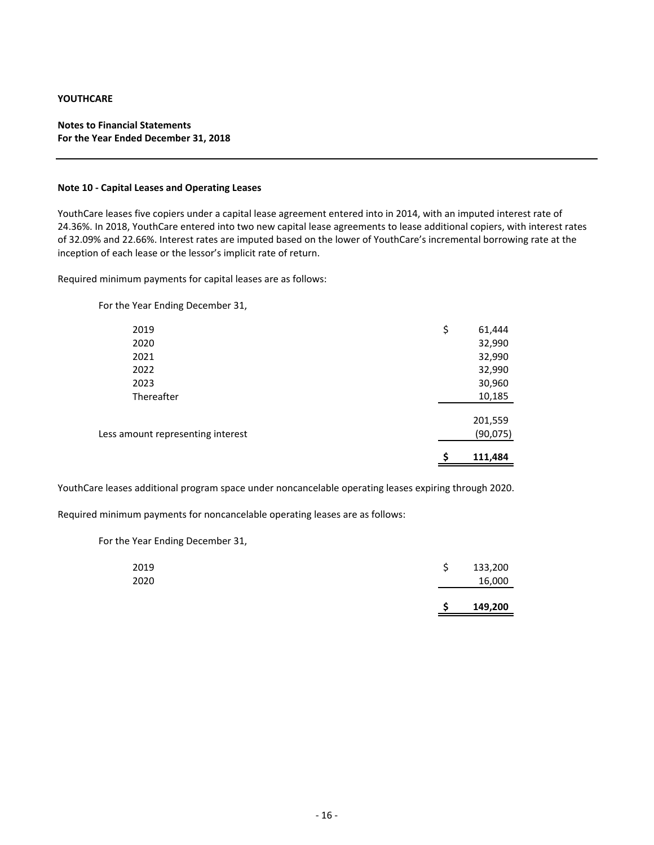## **Notes to Financial Statements For the Year Ended December 31, 2018**

#### **Note 10 ‐ Capital Leases and Operating Leases**

YouthCare leases five copiers under a capital lease agreement entered into in 2014, with an imputed interest rate of 24.36%. In 2018, YouthCare entered into two new capital lease agreements to lease additional copiers, with interest rates of 32.09% and 22.66%. Interest rates are imputed based on the lower of YouthCare's incremental borrowing rate at the inception of each lease or the lessor's implicit rate of return.

Required minimum payments for capital leases are as follows:

For the Year Ending December 31,

 $2019$  \$ 61,444 2020 32,990  $2021$   $32,990$ 2022 32,990  $2023$   $30,960$ Thereafter  $10,185$  201,559 Less amount representing interest  $(90,075)$ **\$ 111,484**

YouthCare leases additional program space under noncancelable operating leases expiring through 2020.

Required minimum payments for noncancelable operating leases are as follows:

For the Year Ending December 31,

| 2019<br>2020 | ¢ | 133,200<br>16,000 |
|--------------|---|-------------------|
|              |   | 149,200           |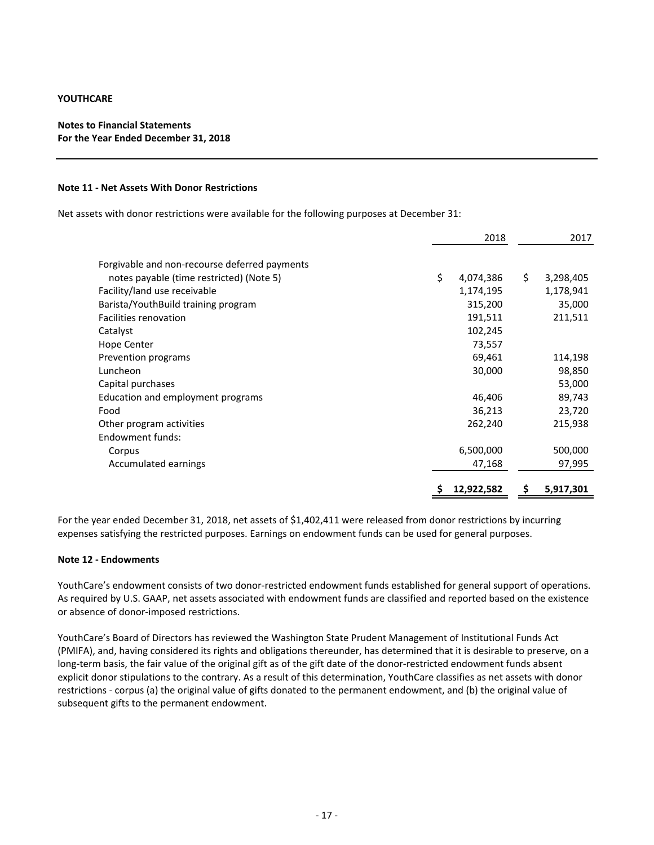## **Notes to Financial Statements For the Year Ended December 31, 2018**

#### **Note 11 ‐ Net Assets With Donor Restrictions**

Net assets with donor restrictions were available for the following purposes at December 31:

|                                               | 2018 |            |    | 2017      |  |
|-----------------------------------------------|------|------------|----|-----------|--|
| Forgivable and non-recourse deferred payments |      |            |    |           |  |
| notes payable (time restricted) (Note 5)      | \$   | 4,074,386  | \$ | 3,298,405 |  |
| Facility/land use receivable                  |      | 1,174,195  |    | 1,178,941 |  |
| Barista/YouthBuild training program           |      | 315,200    |    | 35,000    |  |
| Facilities renovation                         |      | 191,511    |    | 211,511   |  |
| Catalyst                                      |      | 102,245    |    |           |  |
| <b>Hope Center</b>                            |      | 73,557     |    |           |  |
| Prevention programs                           |      | 69,461     |    | 114,198   |  |
| Luncheon                                      |      | 30,000     |    | 98,850    |  |
| Capital purchases                             |      |            |    | 53,000    |  |
| Education and employment programs             |      | 46,406     |    | 89,743    |  |
| Food                                          |      | 36,213     |    | 23,720    |  |
| Other program activities                      |      | 262,240    |    | 215,938   |  |
| Endowment funds:                              |      |            |    |           |  |
| Corpus                                        |      | 6,500,000  |    | 500,000   |  |
| Accumulated earnings                          |      | 47,168     |    | 97,995    |  |
|                                               |      | 12,922,582 | S. | 5,917,301 |  |

For the year ended December 31, 2018, net assets of \$1,402,411 were released from donor restrictions by incurring expenses satisfying the restricted purposes. Earnings on endowment funds can be used for general purposes.

#### **Note 12 ‐ Endowments**

YouthCare's endowment consists of two donor-restricted endowment funds established for general support of operations. As required by U.S. GAAP, net assets associated with endowment funds are classified and reported based on the existence or absence of donor‐imposed restrictions.

YouthCare's Board of Directors has reviewed the Washington State Prudent Management of Institutional Funds Act (PMIFA), and, having considered its rights and obligations thereunder, has determined that it is desirable to preserve, on a long-term basis, the fair value of the original gift as of the gift date of the donor-restricted endowment funds absent explicit donor stipulations to the contrary. As a result of this determination, YouthCare classifies as net assets with donor restrictions ‐ corpus (a) the original value of gifts donated to the permanent endowment, and (b) the original value of subsequent gifts to the permanent endowment.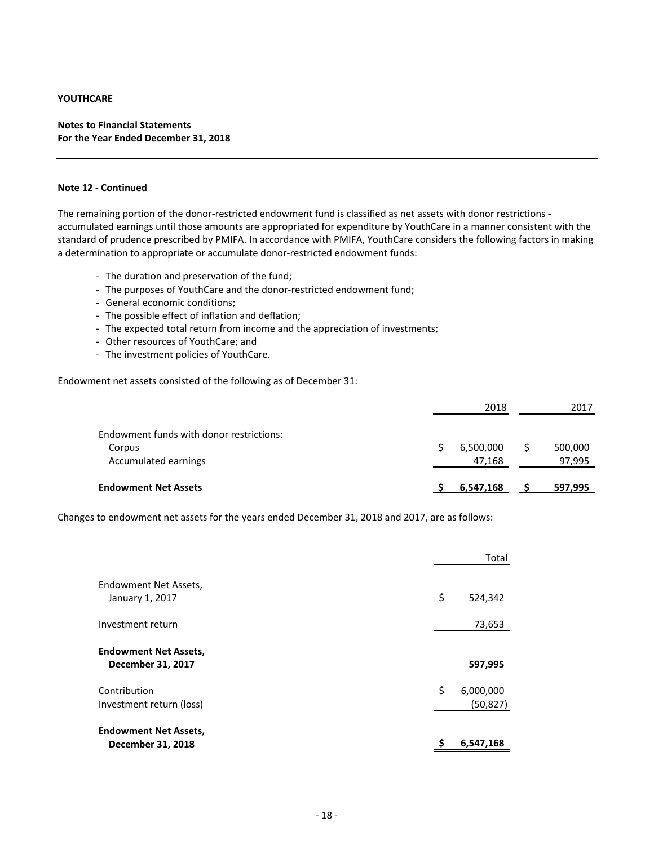## **Notes to Financial Statements For the Year Ended December 31, 2018**

## **Note 12 ‐ Continued**

The remaining portion of the donor-restricted endowment fund is classified as net assets with donor restrictions accumulated earnings until those amounts are appropriated for expenditure by YouthCare in a manner consistent with the standard of prudence prescribed by PMIFA. In accordance with PMIFA, YouthCare considers the following factors in making a determination to appropriate or accumulate donor-restricted endowment funds:

- ‐ The duration and preservation of the fund;
- ‐ The purposes of YouthCare and the donor‐restricted endowment fund;
- ‐ General economic conditions;
- ‐ The possible effect of inflation and deflation;
- ‐ The expected total return from income and the appreciation of investments;
- ‐ Other resources of YouthCare; and
- ‐ The investment policies of YouthCare.

Endowment net assets consisted of the following as of December 31:

|                                                                            | 2018                | 2017              |
|----------------------------------------------------------------------------|---------------------|-------------------|
| Endowment funds with donor restrictions:<br>Corpus<br>Accumulated earnings | 6,500,000<br>47,168 | 500,000<br>97,995 |
| <b>Endowment Net Assets</b>                                                | 6,547,168           | 597,995           |

Changes to endowment net assets for the years ended December 31, 2018 and 2017, are as follows:

|                              | Total           |
|------------------------------|-----------------|
| Endowment Net Assets,        |                 |
| January 1, 2017              | \$<br>524,342   |
| Investment return            | 73,653          |
| <b>Endowment Net Assets,</b> |                 |
| December 31, 2017            | 597,995         |
| Contribution                 | \$<br>6,000,000 |
| Investment return (loss)     | (50,827)        |
| <b>Endowment Net Assets,</b> |                 |
| December 31, 2018            | 6,547,168       |